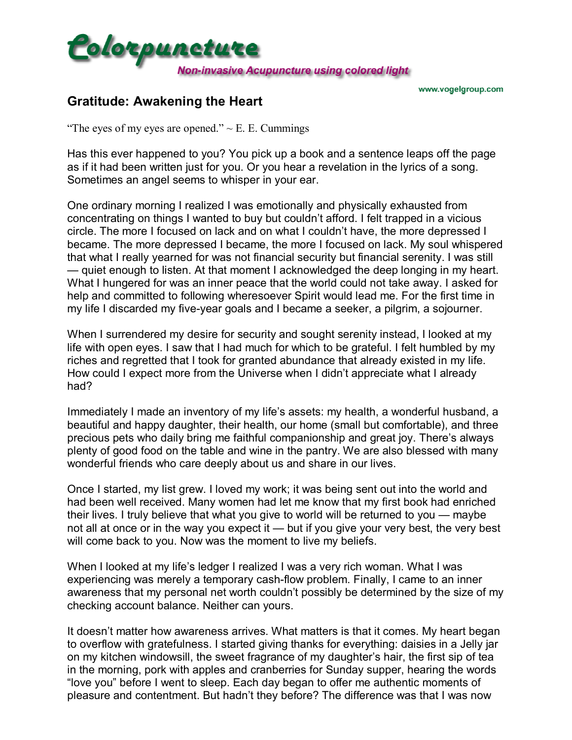

## **Gratitude: Awakening the Heart**

"The eyes of my eyes are opened."  $\sim$  E. E. Cummings

Has this ever happened to you? You pick up a book and a sentence leaps off the page as if it had been written just for you. Or you hear a revelation in the lyrics of a song. Sometimes an angel seems to whisper in your ear.

One ordinary morning I realized I was emotionally and physically exhausted from concentrating on things I wanted to buy but couldnít afford. I felt trapped in a vicious circle. The more I focused on lack and on what I couldnít have, the more depressed I became. The more depressed I became, the more I focused on lack. My soul whispered that what I really yearned for was not financial security but financial serenity. I was still  $-$  quiet enough to listen. At that moment I acknowledged the deep longing in my heart. What I hungered for was an inner peace that the world could not take away. I asked for help and committed to following wheresoever Spirit would lead me. For the first time in my life I discarded my five-year goals and I became a seeker, a pilgrim, a sojourner.

When I surrendered my desire for security and sought serenity instead, I looked at my life with open eyes. I saw that I had much for which to be grateful. I felt humbled by my riches and regretted that I took for granted abundance that already existed in my life. How could I expect more from the Universe when I didn't appreciate what I already had?

Immediately I made an inventory of my lifeís assets: my health, a wonderful husband, a beautiful and happy daughter, their health, our home (small but comfortable), and three precious pets who daily bring me faithful companionship and great joy. There's always plenty of good food on the table and wine in the pantry. We are also blessed with many wonderful friends who care deeply about us and share in our lives.

Once I started, my list grew. I loved my work; it was being sent out into the world and had been well received. Many women had let me know that my first book had enriched their lives. I truly believe that what you give to world will be returned to you – maybe not all at once or in the way you expect it — but if you give your very best, the very best will come back to you. Now was the moment to live my beliefs.

When I looked at my life's ledger I realized I was a very rich woman. What I was experiencing was merely a temporary cash-flow problem. Finally, I came to an inner awareness that my personal net worth couldn't possibly be determined by the size of my checking account balance. Neither can yours.

It doesnít matter how awareness arrives. What matters is that it comes. My heart began to overflow with gratefulness. I started giving thanks for everything: daisies in a Jelly jar on my kitchen windowsill, the sweet fragrance of my daughter's hair, the first sip of tea in the morning, pork with apples and cranberries for Sunday supper, hearing the words ìlove youî before I went to sleep. Each day began to offer me authentic moments of pleasure and contentment. But hadnít they before? The difference was that I was now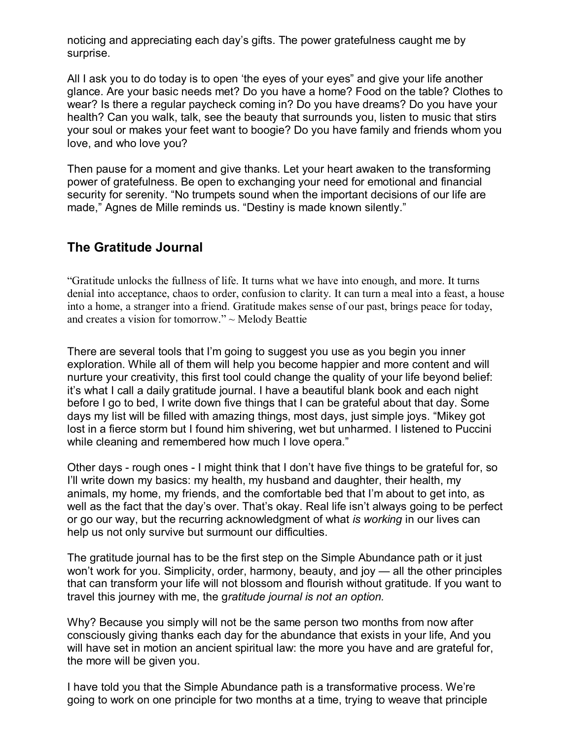noticing and appreciating each day's gifts. The power gratefulness caught me by surprise.

All I ask you to do today is to open 'the eyes of your eyes" and give your life another glance. Are your basic needs met? Do you have a home? Food on the table? Clothes to wear? Is there a regular paycheck coming in? Do you have dreams? Do you have your health? Can you walk, talk, see the beauty that surrounds you, listen to music that stirs your soul or makes your feet want to boogie? Do you have family and friends whom you love, and who love you?

Then pause for a moment and give thanks. Let your heart awaken to the transforming power of gratefulness. Be open to exchanging your need for emotional and financial security for serenity. "No trumpets sound when the important decisions of our life are made," Agnes de Mille reminds us. "Destiny is made known silently."

## **The Gratitude Journal**

ìGratitude unlocks the fullness of life. It turns what we have into enough, and more. It turns denial into acceptance, chaos to order, confusion to clarity. It can turn a meal into a feast, a house into a home, a stranger into a friend. Gratitude makes sense of our past, brings peace for today, and creates a vision for tomorrow."  $\sim$  Melody Beattie

There are several tools that Iím going to suggest you use as you begin you inner exploration. While all of them will help you become happier and more content and will nurture your creativity, this first tool could change the quality of your life beyond belief: it's what I call a daily gratitude journal. I have a beautiful blank book and each night before I go to bed, I write down five things that I can be grateful about that day. Some days my list will be filled with amazing things, most days, just simple joys. "Mikey got lost in a fierce storm but I found him shivering, wet but unharmed. I listened to Puccini while cleaning and remembered how much I love opera."

Other days - rough ones - I might think that I donít have five things to be grateful for, so I'll write down my basics: my health, my husband and daughter, their health, my animals, my home, my friends, and the comfortable bed that Iím about to get into, as well as the fact that the day's over. That's okay. Real life isn't always going to be perfect or go our way, but the recurring acknowledgment of what *is working* in our lives can help us not only survive but surmount our difficulties.

The gratitude journal has to be the first step on the Simple Abundance path or it just won't work for you. Simplicity, order, harmony, beauty, and joy  $-$  all the other principles that can transform your life will not blossom and flourish without gratitude. If you want to travel this journey with me, the g*ratitude journal is not an option.* 

Why? Because you simply will not be the same person two months from now after consciously giving thanks each day for the abundance that exists in your life, And you will have set in motion an ancient spiritual law: the more you have and are grateful for, the more will be given you.

I have told you that the Simple Abundance path is a transformative process. We're going to work on one principle for two months at a time, trying to weave that principle